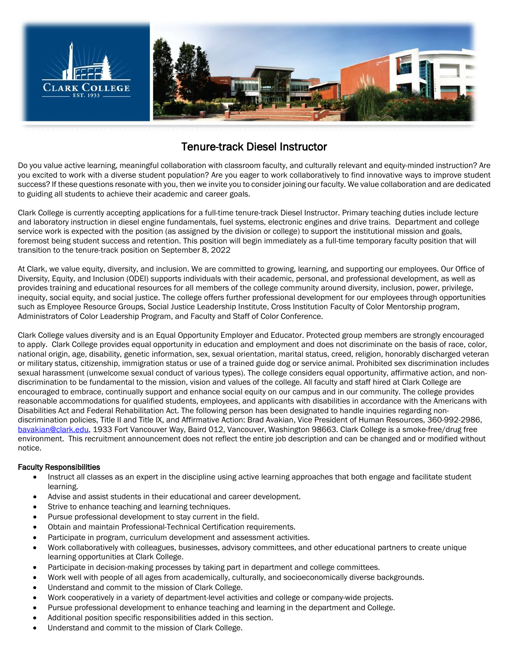

# Tenure-track Diesel Instructor

Do you value active learning, meaningful collaboration with classroom faculty, and culturally relevant and equity-minded instruction? Are you excited to work with a diverse student population? Are you eager to work collaboratively to find innovative ways to improve student success? If these questions resonate with you, then we invite you to consider joining our faculty. We value collaboration and are dedicated to guiding all students to achieve their academic and career goals.

Clark College is currently accepting applications for a full-time tenure-track Diesel Instructor. Primary teaching duties include lecture and laboratory instruction in diesel engine fundamentals, fuel systems, electronic engines and drive trains. Department and college service work is expected with the position (as assigned by the division or college) to support the institutional mission and goals, foremost being student success and retention. This position will begin immediately as a full-time temporary faculty position that will transition to the tenure-track position on September 8, 2022

At Clark, we value equity, diversity, and inclusion. We are committed to growing, learning, and supporting our employees. Our Office of Diversity, Equity, and Inclusion (ODEI) supports individuals with their academic, personal, and professional development, as well as provides training and educational resources for all members of the college community around diversity, inclusion, power, privilege, inequity, social equity, and social justice. The college offers further professional development for our employees through opportunities such as Employee Resource Groups, Social Justice Leadership Institute, Cross Institution Faculty of Color Mentorship program, Administrators of Color Leadership Program, and Faculty and Staff of Color Conference.

Clark College values diversity and is an Equal Opportunity Employer and Educator. Protected group members are strongly encouraged to apply. Clark College provides equal opportunity in education and employment and does not discriminate on the basis of race, color, national origin, age, disability, genetic information, sex, sexual orientation, marital status, creed, religion, honorably discharged veteran or military status, citizenship, immigration status or use of a trained guide dog or service animal. Prohibited sex discrimination includes sexual harassment (unwelcome sexual conduct of various types). The college considers equal opportunity, affirmative action, and nondiscrimination to be fundamental to the mission, vision and values of the college. All faculty and staff hired at Clark College are encouraged to embrace, continually support and enhance social equity on our campus and in our community. The college provides reasonable accommodations for qualified students, employees, and applicants with disabilities in accordance with the Americans with Disabilities Act and Federal Rehabilitation Act. The following person has been designated to handle inquiries regarding nondiscrimination policies, Title II and Title IX, and Affirmative Action: Brad Avakian, Vice President of Human Resources, 360-992-2986, [bavakian@clark.edu,](mailto:bavakian@clark.edu) 1933 Fort Vancouver Way, Baird 012, Vancouver, Washington 98663. Clark College is a smoke-free/drug free environment. This recruitment announcement does not reflect the entire job description and can be changed and or modified without notice.

# Faculty Responsibilities

- Instruct all classes as an expert in the discipline using active learning approaches that both engage and facilitate student learning.
- Advise and assist students in their educational and career development.
- Strive to enhance teaching and learning techniques.
- Pursue professional development to stay current in the field.
- Obtain and maintain Professional-Technical Certification requirements.
- Participate in program, curriculum development and assessment activities.
- Work collaboratively with colleagues, businesses, advisory committees, and other educational partners to create unique learning opportunities at Clark College.
- Participate in decision-making processes by taking part in department and college committees.
- Work well with people of all ages from academically, culturally, and socioeconomically diverse backgrounds.
- Understand and commit to the mission of Clark College.
- Work cooperatively in a variety of department-level activities and college or company-wide projects.
- Pursue professional development to enhance teaching and learning in the department and College.
- Additional position specific responsibilities added in this section.
- Understand and commit to the mission of Clark College.